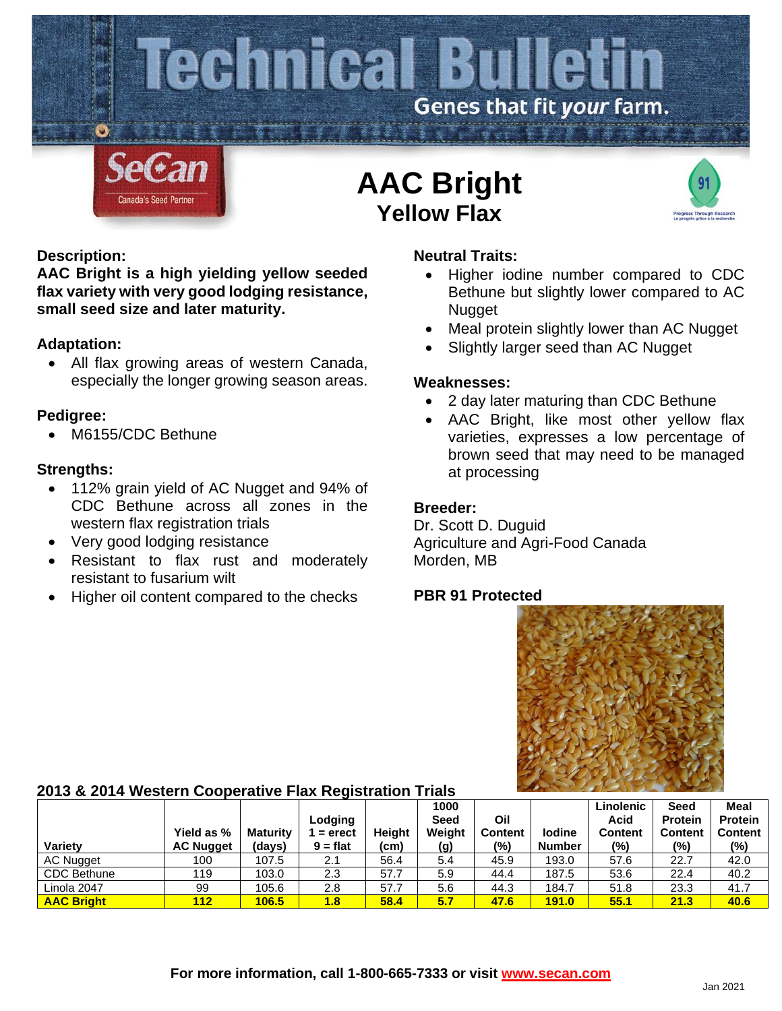

## **Description:**

**AAC Bright is a high yielding yellow seeded flax variety with very good lodging resistance, small seed size and later maturity.**

## **Adaptation:**

• All flax growing areas of western Canada, especially the longer growing season areas.

## **Pedigree:**

M6155/CDC Bethune

## **Strengths:**

- 112% grain yield of AC Nugget and 94% of CDC Bethune across all zones in the western flax registration trials
- Very good lodging resistance
- Resistant to flax rust and moderately resistant to fusarium wilt
- Higher oil content compared to the checks

## **Neutral Traits:**

- Higher iodine number compared to CDC Bethune but slightly lower compared to AC **Nugget**
- Meal protein slightly lower than AC Nugget
- Slightly larger seed than AC Nugget

#### **Weaknesses:**

- 2 day later maturing than CDC Bethune
- AAC Bright, like most other yellow flax varieties, expresses a low percentage of brown seed that may need to be managed at processing

#### **Breeder:**

Dr. Scott D. Duguid Agriculture and Agri-Food Canada Morden, MB

## **PBR 91 Protected**



# **2013 & 2014 Western Cooperative Flax Registration Trials**

| <b>Variety</b>    | Yield as %<br><b>AC Nugget</b> | <b>Maturity</b><br>(days) | ~<br>Lodging<br>$=$ erect<br>$9 = flat$ | <b>Height</b><br>(cm) | 1000<br>Seed<br>Weight<br>(g) | Oil<br><b>Content</b><br>(%) | <b>lodine</b><br><b>Number</b> | Linolenic<br>Acid<br><b>Content</b><br>$(\%)$ | <b>Seed</b><br><b>Protein</b><br><b>Content</b><br>$(\% )$ | Meal<br><b>Protein</b><br><b>Content</b><br>$(\%)$ |
|-------------------|--------------------------------|---------------------------|-----------------------------------------|-----------------------|-------------------------------|------------------------------|--------------------------------|-----------------------------------------------|------------------------------------------------------------|----------------------------------------------------|
| <b>AC Nugget</b>  | 100                            | 107.5                     | 2.1                                     | 56.4                  | 5.4                           | 45.9                         | 193.0                          | 57.6                                          | 22.7                                                       | 42.0                                               |
| CDC Bethune       | 119                            | 103.0                     | 2.3                                     | 57.7                  | 5.9                           | 44.4                         | 187.5                          | 53.6                                          | 22.4                                                       | 40.2                                               |
| Linola 2047       | 99                             | 105.6                     | 2.8                                     | 57.7                  | 5.6                           | 44.3                         | 184.7                          | 51.8                                          | 23.3                                                       | 41.7                                               |
| <b>AAC Bright</b> | 112                            | 106.5                     | 1.8                                     | 58.4                  | 5.7                           | 47.6                         | <b>191.0</b>                   | 55.1                                          | 21.3                                                       | 40.6                                               |